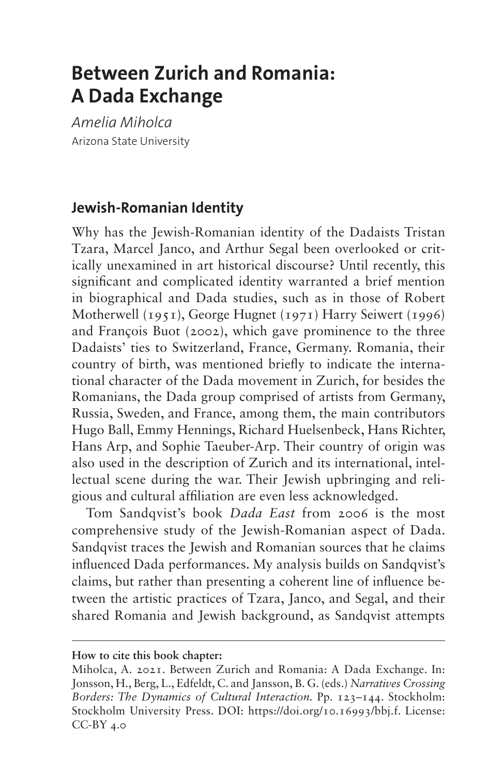# **Between Zurich and Romania: A Dada Exchange**

*Amelia Miholca* Arizona State University

# **Jewish-Romanian Identity**

Why has the Jewish-Romanian identity of the Dadaists Tristan Tzara, Marcel Janco, and Arthur Segal been overlooked or critically unexamined in art historical discourse? Until recently, this significant and complicated identity warranted a brief mention in biographical and Dada studies, such as in those of Robert Motherwell (1951), George Hugnet (1971) Harry Seiwert (1996) and François Buot (2002), which gave prominence to the three Dadaists' ties to Switzerland, France, Germany. Romania, their country of birth, was mentioned briefly to indicate the international character of the Dada movement in Zurich, for besides the Romanians, the Dada group comprised of artists from Germany, Russia, Sweden, and France, among them, the main contributors Hugo Ball, Emmy Hennings, Richard Huelsenbeck, Hans Richter, Hans Arp, and Sophie Taeuber-Arp. Their country of origin was also used in the description of Zurich and its international, intellectual scene during the war. Their Jewish upbringing and religious and cultural affiliation are even less acknowledged.

Tom Sandqvist's book *Dada East* from 2006 is the most comprehensive study of the Jewish-Romanian aspect of Dada. Sandqvist traces the Jewish and Romanian sources that he claims influenced Dada performances. My analysis builds on Sandqvist's claims, but rather than presenting a coherent line of influence between the artistic practices of Tzara, Janco, and Segal, and their shared Romania and Jewish background, as Sandqvist attempts

#### **How to cite this book chapter:**

Miholca, A. 2021. Between Zurich and Romania: A Dada Exchange. In: Jonsson, H., Berg, L., Edfeldt, C. and Jansson, B. G. (eds.) *Narratives Crossing Borders: The Dynamics of Cultural Interaction.* Pp. 123–144. Stockholm: Stockholm University Press. DOI: <https://doi.org/10.16993/bbj.f>. License: CC-BY 4.0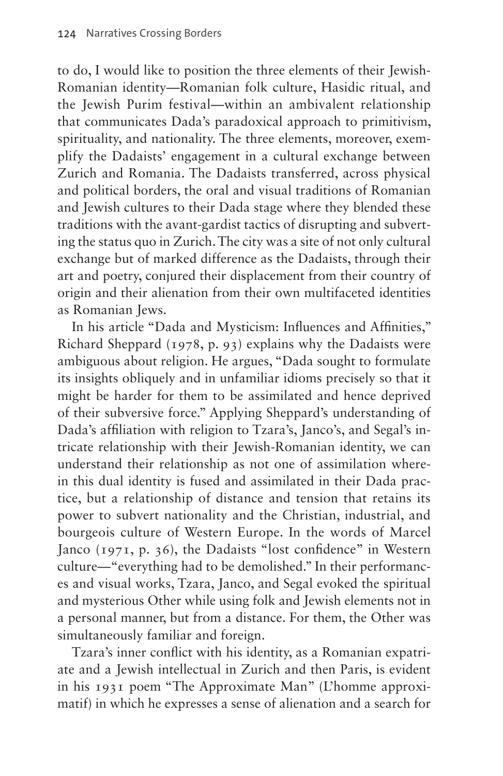to do, I would like to position the three elements of their Jewish-Romanian identity—Romanian folk culture, Hasidic ritual, and the Jewish Purim festival—within an ambivalent relationship that communicates Dada's paradoxical approach to primitivism, spirituality, and nationality. The three elements, moreover, exemplify the Dadaists' engagement in a cultural exchange between Zurich and Romania. The Dadaists transferred, across physical and political borders, the oral and visual traditions of Romanian and Jewish cultures to their Dada stage where they blended these traditions with the avant-gardist tactics of disrupting and subverting the status quo in Zurich. The city was a site of not only cultural exchange but of marked difference as the Dadaists, through their art and poetry, conjured their displacement from their country of origin and their alienation from their own multifaceted identities as Romanian Jews.

In his article "Dada and Mysticism: Influences and Affinities," Richard Sheppard (1978, p. 93) explains why the Dadaists were ambiguous about religion. He argues, "Dada sought to formulate its insights obliquely and in unfamiliar idioms precisely so that it might be harder for them to be assimilated and hence deprived of their subversive force." Applying Sheppard's understanding of Dada's affiliation with religion to Tzara's, Janco's, and Segal's intricate relationship with their Jewish-Romanian identity, we can understand their relationship as not one of assimilation wherein this dual identity is fused and assimilated in their Dada practice, but a relationship of distance and tension that retains its power to subvert nationality and the Christian, industrial, and bourgeois culture of Western Europe. In the words of Marcel Janco (1971, p. 36), the Dadaists "lost confidence" in Western culture—"everything had to be demolished." In their performances and visual works, Tzara, Janco, and Segal evoked the spiritual and mysterious Other while using folk and Jewish elements not in a personal manner, but from a distance. For them, the Other was simultaneously familiar and foreign.

Tzara's inner conflict with his identity, as a Romanian expatriate and a Jewish intellectual in Zurich and then Paris, is evident in his 1931 poem "The Approximate Man" (L'homme approximatif) in which he expresses a sense of alienation and a search for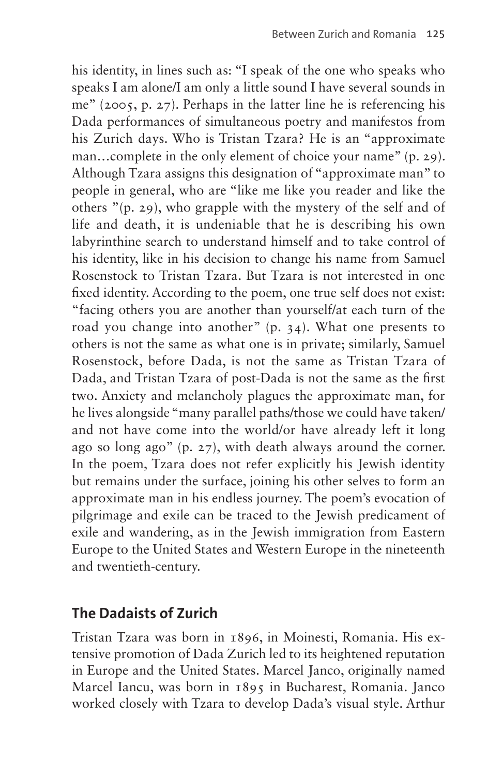his identity, in lines such as: "I speak of the one who speaks who speaks I am alone/I am only a little sound I have several sounds in me" (2005, p. 27). Perhaps in the latter line he is referencing his Dada performances of simultaneous poetry and manifestos from his Zurich days. Who is Tristan Tzara? He is an "approximate man…complete in the only element of choice your name" (p. 29). Although Tzara assigns this designation of "approximate man" to people in general, who are "like me like you reader and like the others "(p. 29), who grapple with the mystery of the self and of life and death, it is undeniable that he is describing his own labyrinthine search to understand himself and to take control of his identity, like in his decision to change his name from Samuel Rosenstock to Tristan Tzara. But Tzara is not interested in one fixed identity. According to the poem, one true self does not exist: "facing others you are another than yourself/at each turn of the road you change into another" (p. 34). What one presents to others is not the same as what one is in private; similarly, Samuel Rosenstock, before Dada, is not the same as Tristan Tzara of Dada, and Tristan Tzara of post-Dada is not the same as the first two. Anxiety and melancholy plagues the approximate man, for he lives alongside "many parallel paths/those we could have taken/ and not have come into the world/or have already left it long ago so long ago" (p. 27), with death always around the corner. In the poem, Tzara does not refer explicitly his Jewish identity but remains under the surface, joining his other selves to form an approximate man in his endless journey. The poem's evocation of pilgrimage and exile can be traced to the Jewish predicament of exile and wandering, as in the Jewish immigration from Eastern Europe to the United States and Western Europe in the nineteenth and twentieth-century.

# **The Dadaists of Zurich**

Tristan Tzara was born in 1896, in Moinesti, Romania. His extensive promotion of Dada Zurich led to its heightened reputation in Europe and the United States. Marcel Janco, originally named Marcel Iancu, was born in 1895 in Bucharest, Romania. Janco worked closely with Tzara to develop Dada's visual style. Arthur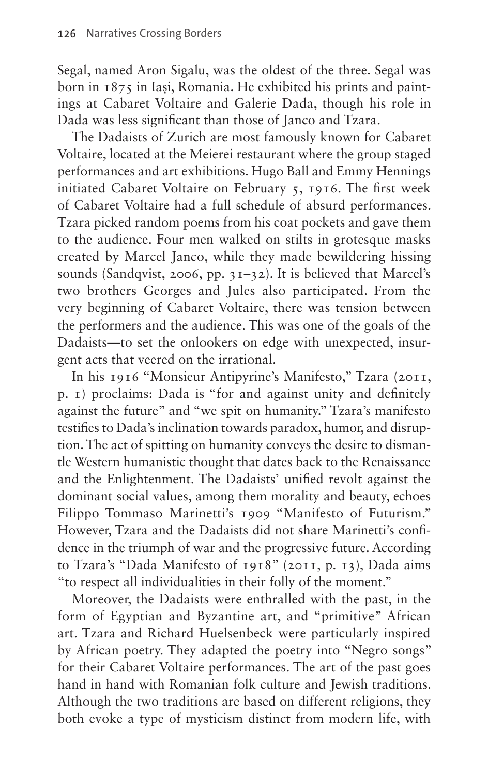Segal, named Aron Sigalu, was the oldest of the three. Segal was born in 1875 in Iași, Romania. He exhibited his prints and paintings at Cabaret Voltaire and Galerie Dada, though his role in Dada was less significant than those of Janco and Tzara.

The Dadaists of Zurich are most famously known for Cabaret Voltaire, located at the Meierei restaurant where the group staged performances and art exhibitions. Hugo Ball and Emmy Hennings initiated Cabaret Voltaire on February 5, 1916. The first week of Cabaret Voltaire had a full schedule of absurd performances. Tzara picked random poems from his coat pockets and gave them to the audience. Four men walked on stilts in grotesque masks created by Marcel Janco, while they made bewildering hissing sounds (Sandqvist, 2006, pp. 31–32). It is believed that Marcel's two brothers Georges and Jules also participated. From the very beginning of Cabaret Voltaire, there was tension between the performers and the audience. This was one of the goals of the Dadaists—to set the onlookers on edge with unexpected, insurgent acts that veered on the irrational.

In his 1916 "Monsieur Antipyrine's Manifesto," Tzara (2011, p. 1) proclaims: Dada is "for and against unity and definitely against the future" and "we spit on humanity." Tzara's manifesto testifies to Dada's inclination towards paradox, humor, and disruption. The act of spitting on humanity conveys the desire to dismantle Western humanistic thought that dates back to the Renaissance and the Enlightenment. The Dadaists' unified revolt against the dominant social values, among them morality and beauty, echoes Filippo Tommaso Marinetti's 1909 "Manifesto of Futurism." However, Tzara and the Dadaists did not share Marinetti's confidence in the triumph of war and the progressive future. According to Tzara's "Dada Manifesto of 1918" (2011, p. 13), Dada aims "to respect all individualities in their folly of the moment."

Moreover, the Dadaists were enthralled with the past, in the form of Egyptian and Byzantine art, and "primitive" African art. Tzara and Richard Huelsenbeck were particularly inspired by African poetry. They adapted the poetry into "Negro songs" for their Cabaret Voltaire performances. The art of the past goes hand in hand with Romanian folk culture and Jewish traditions. Although the two traditions are based on different religions, they both evoke a type of mysticism distinct from modern life, with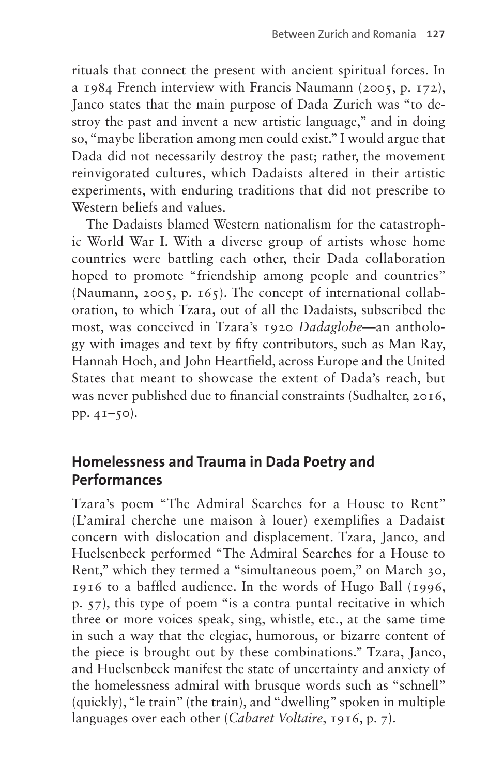rituals that connect the present with ancient spiritual forces. In a 1984 French interview with Francis Naumann (2005, p. 172), Janco states that the main purpose of Dada Zurich was "to destroy the past and invent a new artistic language," and in doing so, "maybe liberation among men could exist." I would argue that Dada did not necessarily destroy the past; rather, the movement reinvigorated cultures, which Dadaists altered in their artistic experiments, with enduring traditions that did not prescribe to Western beliefs and values.

The Dadaists blamed Western nationalism for the catastrophic World War I. With a diverse group of artists whose home countries were battling each other, their Dada collaboration hoped to promote "friendship among people and countries" (Naumann, 2005, p. 165). The concept of international collaboration, to which Tzara, out of all the Dadaists, subscribed the most, was conceived in Tzara's 1920 *Dadaglobe*—an anthology with images and text by fifty contributors, such as Man Ray, Hannah Hoch, and John Heartfield, across Europe and the United States that meant to showcase the extent of Dada's reach, but was never published due to financial constraints (Sudhalter, 2016, pp. 41–50).

#### **Homelessness and Trauma in Dada Poetry and Performances**

Tzara's poem "The Admiral Searches for a House to Rent" (L'amiral cherche une maison à louer) exemplifies a Dadaist concern with dislocation and displacement. Tzara, Janco, and Huelsenbeck performed "The Admiral Searches for a House to Rent," which they termed a "simultaneous poem," on March 30, 1916 to a baffled audience. In the words of Hugo Ball (1996, p. 57), this type of poem "is a contra puntal recitative in which three or more voices speak, sing, whistle, etc., at the same time in such a way that the elegiac, humorous, or bizarre content of the piece is brought out by these combinations." Tzara, Janco, and Huelsenbeck manifest the state of uncertainty and anxiety of the homelessness admiral with brusque words such as "schnell" (quickly), "le train" (the train), and "dwelling" spoken in multiple languages over each other (*Cabaret Voltaire*, 1916, p. 7).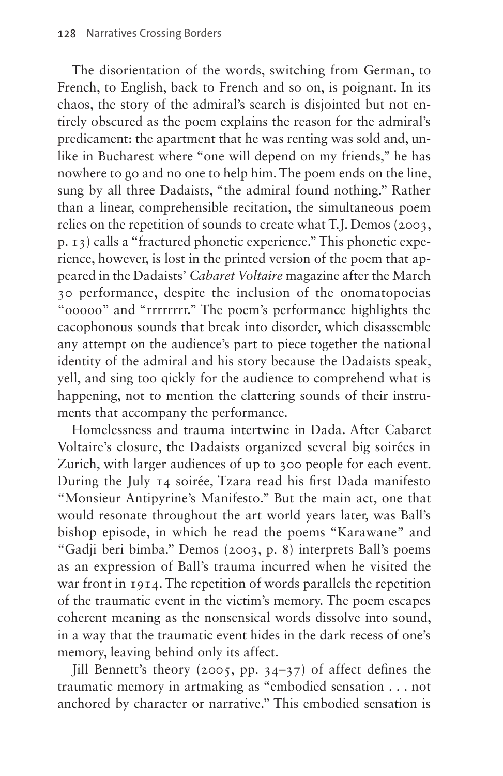The disorientation of the words, switching from German, to French, to English, back to French and so on, is poignant. In its chaos, the story of the admiral's search is disjointed but not entirely obscured as the poem explains the reason for the admiral's predicament: the apartment that he was renting was sold and, unlike in Bucharest where "one will depend on my friends," he has nowhere to go and no one to help him. The poem ends on the line, sung by all three Dadaists, "the admiral found nothing." Rather than a linear, comprehensible recitation, the simultaneous poem relies on the repetition of sounds to create what T.J. Demos (2003, p. 13) calls a "fractured phonetic experience." This phonetic experience, however, is lost in the printed version of the poem that appeared in the Dadaists' *Cabaret Voltaire* magazine after the March 30 performance, despite the inclusion of the onomatopoeias "ooooo" and "rrrrrrrr." The poem's performance highlights the cacophonous sounds that break into disorder, which disassemble any attempt on the audience's part to piece together the national identity of the admiral and his story because the Dadaists speak, yell, and sing too qickly for the audience to comprehend what is happening, not to mention the clattering sounds of their instruments that accompany the performance.

Homelessness and trauma intertwine in Dada. After Cabaret Voltaire's closure, the Dadaists organized several big soirées in Zurich, with larger audiences of up to 300 people for each event. During the July 14 soirée, Tzara read his first Dada manifesto "Monsieur Antipyrine's Manifesto." But the main act, one that would resonate throughout the art world years later, was Ball's bishop episode, in which he read the poems "Karawane" and "Gadji beri bimba." Demos (2003, p. 8) interprets Ball's poems as an expression of Ball's trauma incurred when he visited the war front in 1914. The repetition of words parallels the repetition of the traumatic event in the victim's memory. The poem escapes coherent meaning as the nonsensical words dissolve into sound, in a way that the traumatic event hides in the dark recess of one's memory, leaving behind only its affect.

Jill Bennett's theory (2005, pp. 34–37) of affect defines the traumatic memory in artmaking as "embodied sensation . . . not anchored by character or narrative." This embodied sensation is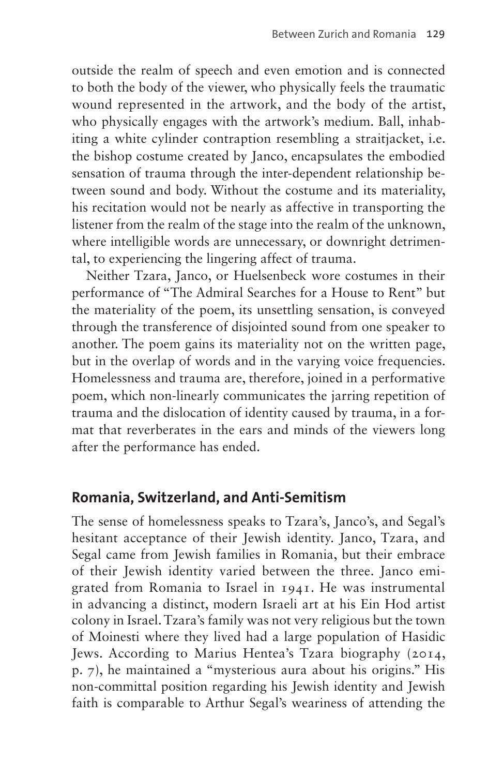outside the realm of speech and even emotion and is connected to both the body of the viewer, who physically feels the traumatic wound represented in the artwork, and the body of the artist, who physically engages with the artwork's medium. Ball, inhabiting a white cylinder contraption resembling a straitjacket, i.e. the bishop costume created by Janco, encapsulates the embodied sensation of trauma through the inter-dependent relationship between sound and body. Without the costume and its materiality, his recitation would not be nearly as affective in transporting the listener from the realm of the stage into the realm of the unknown, where intelligible words are unnecessary, or downright detrimental, to experiencing the lingering affect of trauma.

Neither Tzara, Janco, or Huelsenbeck wore costumes in their performance of "The Admiral Searches for a House to Rent" but the materiality of the poem, its unsettling sensation, is conveyed through the transference of disjointed sound from one speaker to another. The poem gains its materiality not on the written page, but in the overlap of words and in the varying voice frequencies. Homelessness and trauma are, therefore, joined in a performative poem, which non-linearly communicates the jarring repetition of trauma and the dislocation of identity caused by trauma, in a format that reverberates in the ears and minds of the viewers long after the performance has ended.

#### **Romania, Switzerland, and Anti-Semitism**

The sense of homelessness speaks to Tzara's, Janco's, and Segal's hesitant acceptance of their Jewish identity. Janco, Tzara, and Segal came from Jewish families in Romania, but their embrace of their Jewish identity varied between the three. Janco emigrated from Romania to Israel in 1941. He was instrumental in advancing a distinct, modern Israeli art at his Ein Hod artist colony in Israel. Tzara's family was not very religious but the town of Moinesti where they lived had a large population of Hasidic Jews. According to Marius Hentea's Tzara biography (2014, p. 7), he maintained a "mysterious aura about his origins." His non-committal position regarding his Jewish identity and Jewish faith is comparable to Arthur Segal's weariness of attending the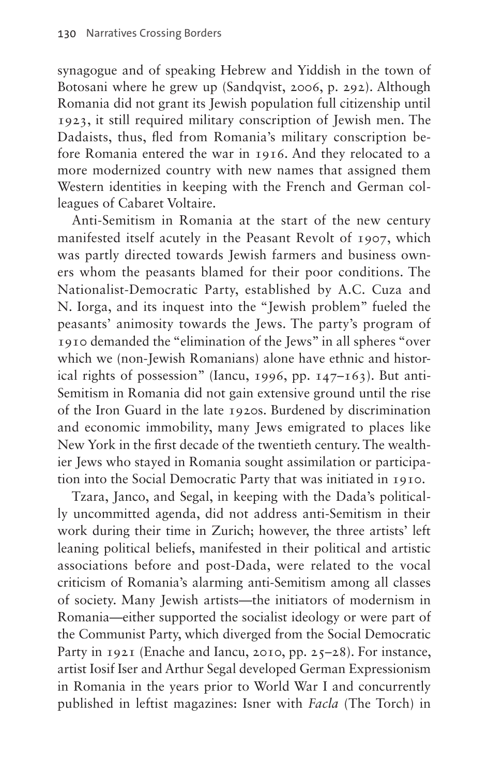synagogue and of speaking Hebrew and Yiddish in the town of Botosani where he grew up (Sandqvist, 2006, p. 292). Although Romania did not grant its Jewish population full citizenship until 1923, it still required military conscription of Jewish men. The Dadaists, thus, fled from Romania's military conscription before Romania entered the war in 1916. And they relocated to a more modernized country with new names that assigned them Western identities in keeping with the French and German colleagues of Cabaret Voltaire.

Anti-Semitism in Romania at the start of the new century manifested itself acutely in the Peasant Revolt of 1907, which was partly directed towards Jewish farmers and business owners whom the peasants blamed for their poor conditions. The Nationalist-Democratic Party, established by A.C. Cuza and N. Iorga, and its inquest into the "Jewish problem" fueled the peasants' animosity towards the Jews. The party's program of 1910 demanded the "elimination of the Jews" in all spheres "over which we (non-Jewish Romanians) alone have ethnic and historical rights of possession" (Iancu, 1996, pp. 147–163). But anti-Semitism in Romania did not gain extensive ground until the rise of the Iron Guard in the late 1920s. Burdened by discrimination and economic immobility, many Jews emigrated to places like New York in the first decade of the twentieth century. The wealthier Jews who stayed in Romania sought assimilation or participation into the Social Democratic Party that was initiated in 1910.

Tzara, Janco, and Segal, in keeping with the Dada's politically uncommitted agenda, did not address anti-Semitism in their work during their time in Zurich; however, the three artists' left leaning political beliefs, manifested in their political and artistic associations before and post-Dada, were related to the vocal criticism of Romania's alarming anti-Semitism among all classes of society. Many Jewish artists—the initiators of modernism in Romania—either supported the socialist ideology or were part of the Communist Party, which diverged from the Social Democratic Party in 1921 (Enache and Iancu, 2010, pp. 25–28). For instance, artist Iosif Iser and Arthur Segal developed German Expressionism in Romania in the years prior to World War I and concurrently published in leftist magazines: Isner with *Facla* (The Torch) in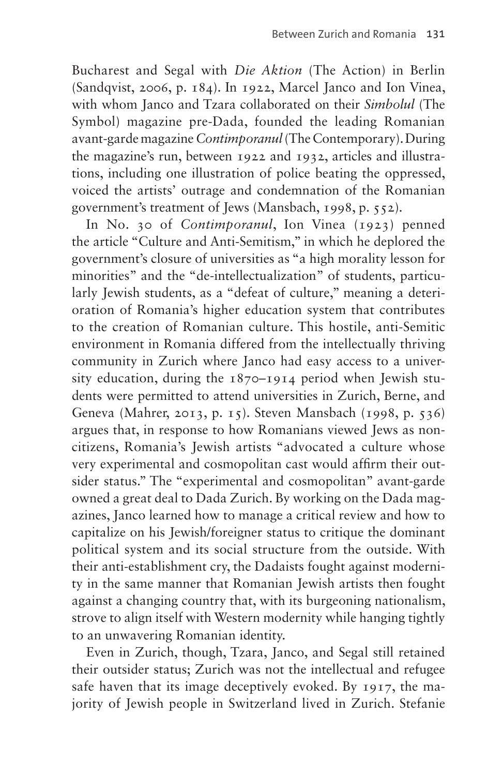Bucharest and Segal with *Die Aktion* (The Action) in Berlin (Sandqvist, 2006, p. 184). In 1922, Marcel Janco and Ion Vinea, with whom Janco and Tzara collaborated on their *Simbolul* (The Symbol) magazine pre-Dada, founded the leading Romanian avant-garde magazine *Contimporanul* (The Contemporary). During the magazine's run, between 1922 and 1932, articles and illustrations, including one illustration of police beating the oppressed, voiced the artists' outrage and condemnation of the Romanian government's treatment of Jews (Mansbach, 1998, p. 552).

In No. 30 of *Contimporanul*, Ion Vinea (1923) penned the article "Culture and Anti-Semitism," in which he deplored the government's closure of universities as "a high morality lesson for minorities" and the "de-intellectualization" of students, particularly Jewish students, as a "defeat of culture," meaning a deterioration of Romania's higher education system that contributes to the creation of Romanian culture. This hostile, anti-Semitic environment in Romania differed from the intellectually thriving community in Zurich where Janco had easy access to a university education, during the 1870–1914 period when Jewish students were permitted to attend universities in Zurich, Berne, and Geneva (Mahrer, 2013, p. 15). Steven Mansbach (1998, p. 536) argues that, in response to how Romanians viewed Jews as noncitizens, Romania's Jewish artists "advocated a culture whose very experimental and cosmopolitan cast would affirm their outsider status." The "experimental and cosmopolitan" avant-garde owned a great deal to Dada Zurich. By working on the Dada magazines, Janco learned how to manage a critical review and how to capitalize on his Jewish/foreigner status to critique the dominant political system and its social structure from the outside. With their anti-establishment cry, the Dadaists fought against modernity in the same manner that Romanian Jewish artists then fought against a changing country that, with its burgeoning nationalism, strove to align itself with Western modernity while hanging tightly to an unwavering Romanian identity.

Even in Zurich, though, Tzara, Janco, and Segal still retained their outsider status; Zurich was not the intellectual and refugee safe haven that its image deceptively evoked. By 1917, the majority of Jewish people in Switzerland lived in Zurich. Stefanie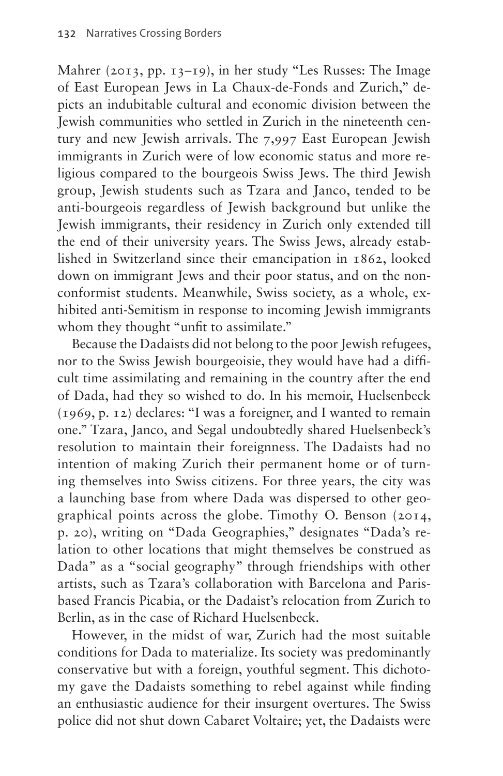Mahrer (2013, pp. 13–19), in her study "Les Russes: The Image of East European Jews in La Chaux-de-Fonds and Zurich," depicts an indubitable cultural and economic division between the Jewish communities who settled in Zurich in the nineteenth century and new Jewish arrivals. The 7,997 East European Jewish immigrants in Zurich were of low economic status and more religious compared to the bourgeois Swiss Jews. The third Jewish group, Jewish students such as Tzara and Janco, tended to be anti-bourgeois regardless of Jewish background but unlike the Jewish immigrants, their residency in Zurich only extended till the end of their university years. The Swiss Jews, already established in Switzerland since their emancipation in 1862, looked down on immigrant Jews and their poor status, and on the nonconformist students. Meanwhile, Swiss society, as a whole, exhibited anti-Semitism in response to incoming Jewish immigrants whom they thought "unfit to assimilate."

Because the Dadaists did not belong to the poor Jewish refugees, nor to the Swiss Jewish bourgeoisie, they would have had a difficult time assimilating and remaining in the country after the end of Dada, had they so wished to do. In his memoir, Huelsenbeck (1969, p. 12) declares: "I was a foreigner, and I wanted to remain one." Tzara, Janco, and Segal undoubtedly shared Huelsenbeck's resolution to maintain their foreignness. The Dadaists had no intention of making Zurich their permanent home or of turning themselves into Swiss citizens. For three years, the city was a launching base from where Dada was dispersed to other geographical points across the globe. Timothy O. Benson (2014, p. 20), writing on "Dada Geographies," designates "Dada's relation to other locations that might themselves be construed as Dada" as a "social geography" through friendships with other artists, such as Tzara's collaboration with Barcelona and Parisbased Francis Picabia, or the Dadaist's relocation from Zurich to Berlin, as in the case of Richard Huelsenbeck.

However, in the midst of war, Zurich had the most suitable conditions for Dada to materialize. Its society was predominantly conservative but with a foreign, youthful segment. This dichotomy gave the Dadaists something to rebel against while finding an enthusiastic audience for their insurgent overtures. The Swiss police did not shut down Cabaret Voltaire; yet, the Dadaists were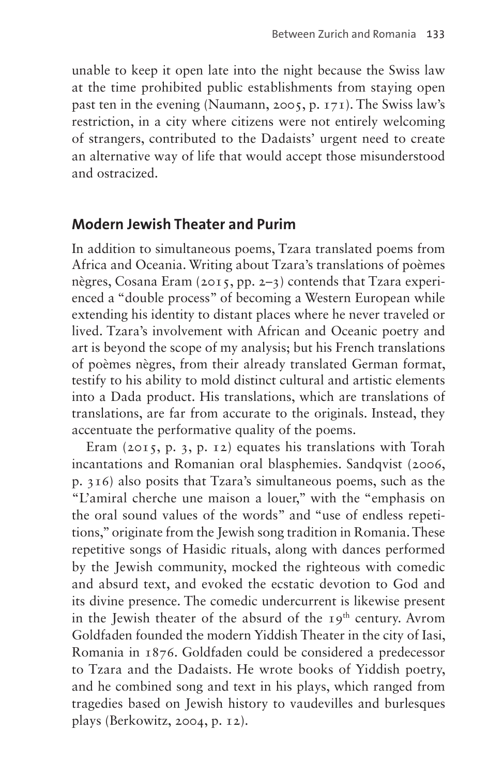unable to keep it open late into the night because the Swiss law at the time prohibited public establishments from staying open past ten in the evening (Naumann, 2005, p. 171). The Swiss law's restriction, in a city where citizens were not entirely welcoming of strangers, contributed to the Dadaists' urgent need to create an alternative way of life that would accept those misunderstood and ostracized.

# **Modern Jewish Theater and Purim**

In addition to simultaneous poems, Tzara translated poems from Africa and Oceania. Writing about Tzara's translations of poèmes nègres, Cosana Eram (2015, pp. 2–3) contends that Tzara experienced a "double process" of becoming a Western European while extending his identity to distant places where he never traveled or lived. Tzara's involvement with African and Oceanic poetry and art is beyond the scope of my analysis; but his French translations of poèmes nègres, from their already translated German format, testify to his ability to mold distinct cultural and artistic elements into a Dada product. His translations, which are translations of translations, are far from accurate to the originals. Instead, they accentuate the performative quality of the poems.

Eram (2015, p. 3, p. 12) equates his translations with Torah incantations and Romanian oral blasphemies. Sandqvist (2006, p. 316) also posits that Tzara's simultaneous poems, such as the "L'amiral cherche une maison a louer," with the "emphasis on the oral sound values of the words" and "use of endless repetitions," originate from the Jewish song tradition in Romania. These repetitive songs of Hasidic rituals, along with dances performed by the Jewish community, mocked the righteous with comedic and absurd text, and evoked the ecstatic devotion to God and its divine presence. The comedic undercurrent is likewise present in the Jewish theater of the absurd of the  $19<sup>th</sup>$  century. Avrom Goldfaden founded the modern Yiddish Theater in the city of Iasi, Romania in 1876. Goldfaden could be considered a predecessor to Tzara and the Dadaists. He wrote books of Yiddish poetry, and he combined song and text in his plays, which ranged from tragedies based on Jewish history to vaudevilles and burlesques plays (Berkowitz, 2004, p. 12).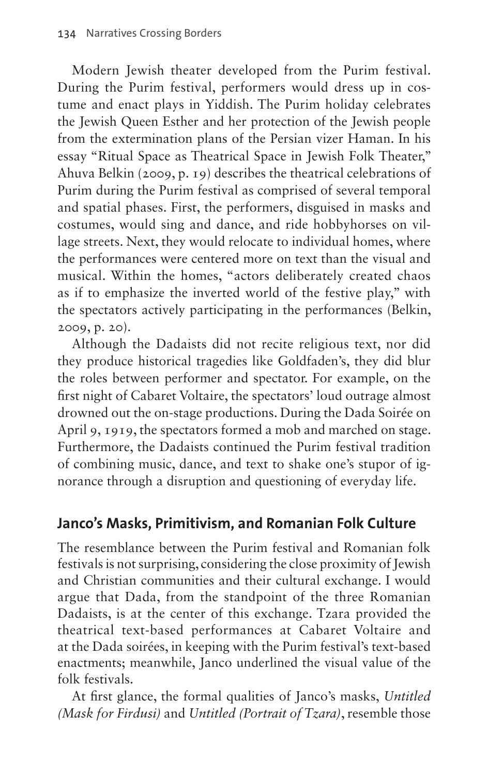Modern Jewish theater developed from the Purim festival. During the Purim festival, performers would dress up in costume and enact plays in Yiddish. The Purim holiday celebrates the Jewish Queen Esther and her protection of the Jewish people from the extermination plans of the Persian vizer Haman. In his essay "Ritual Space as Theatrical Space in Jewish Folk Theater," Ahuva Belkin (2009, p. 19) describes the theatrical celebrations of Purim during the Purim festival as comprised of several temporal and spatial phases. First, the performers, disguised in masks and costumes, would sing and dance, and ride hobbyhorses on village streets. Next, they would relocate to individual homes, where the performances were centered more on text than the visual and musical. Within the homes, "actors deliberately created chaos as if to emphasize the inverted world of the festive play," with the spectators actively participating in the performances (Belkin, 2009, p. 20).

Although the Dadaists did not recite religious text, nor did they produce historical tragedies like Goldfaden's, they did blur the roles between performer and spectator. For example, on the first night of Cabaret Voltaire, the spectators' loud outrage almost drowned out the on-stage productions. During the Dada Soirée on April 9, 1919, the spectators formed a mob and marched on stage. Furthermore, the Dadaists continued the Purim festival tradition of combining music, dance, and text to shake one's stupor of ignorance through a disruption and questioning of everyday life.

# **Janco's Masks, Primitivism, and Romanian Folk Culture**

The resemblance between the Purim festival and Romanian folk festivals is not surprising, considering the close proximity of Jewish and Christian communities and their cultural exchange. I would argue that Dada, from the standpoint of the three Romanian Dadaists, is at the center of this exchange. Tzara provided the theatrical text-based performances at Cabaret Voltaire and at the Dada soirées, in keeping with the Purim festival's text-based enactments; meanwhile, Janco underlined the visual value of the folk festivals.

At first glance, the formal qualities of Janco's masks, *Untitled (Mask for Firdusi)* and *Untitled (Portrait of Tzara)*, resemble those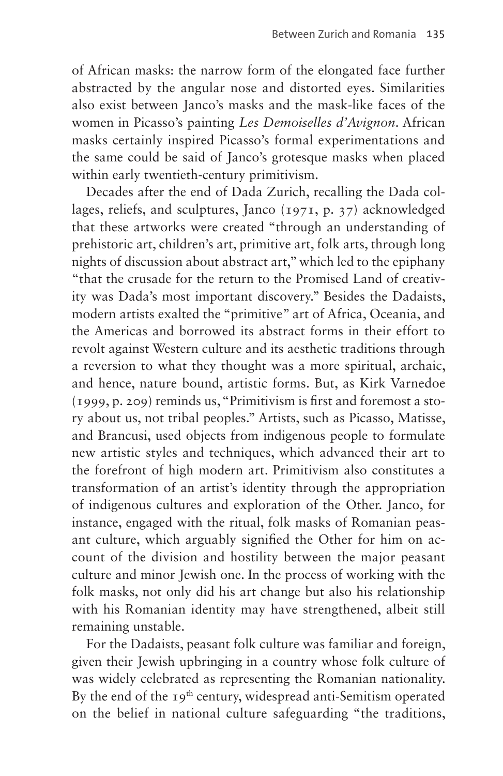of African masks: the narrow form of the elongated face further abstracted by the angular nose and distorted eyes. Similarities also exist between Janco's masks and the mask-like faces of the women in Picasso's painting *Les Demoiselles d'Avignon*. African masks certainly inspired Picasso's formal experimentations and the same could be said of Janco's grotesque masks when placed within early twentieth-century primitivism.

Decades after the end of Dada Zurich, recalling the Dada collages, reliefs, and sculptures, Janco (1971, p. 37) acknowledged that these artworks were created "through an understanding of prehistoric art, children's art, primitive art, folk arts, through long nights of discussion about abstract art," which led to the epiphany "that the crusade for the return to the Promised Land of creativity was Dada's most important discovery." Besides the Dadaists, modern artists exalted the "primitive" art of Africa, Oceania, and the Americas and borrowed its abstract forms in their effort to revolt against Western culture and its aesthetic traditions through a reversion to what they thought was a more spiritual, archaic, and hence, nature bound, artistic forms. But, as Kirk Varnedoe (1999, p. 209) reminds us, "Primitivism is first and foremost a story about us, not tribal peoples." Artists, such as Picasso, Matisse, and Brancusi, used objects from indigenous people to formulate new artistic styles and techniques, which advanced their art to the forefront of high modern art. Primitivism also constitutes a transformation of an artist's identity through the appropriation of indigenous cultures and exploration of the Other. Janco, for instance, engaged with the ritual, folk masks of Romanian peasant culture, which arguably signified the Other for him on account of the division and hostility between the major peasant culture and minor Jewish one. In the process of working with the folk masks, not only did his art change but also his relationship with his Romanian identity may have strengthened, albeit still remaining unstable.

For the Dadaists, peasant folk culture was familiar and foreign, given their Jewish upbringing in a country whose folk culture of was widely celebrated as representing the Romanian nationality. By the end of the 19<sup>th</sup> century, widespread anti-Semitism operated on the belief in national culture safeguarding "the traditions,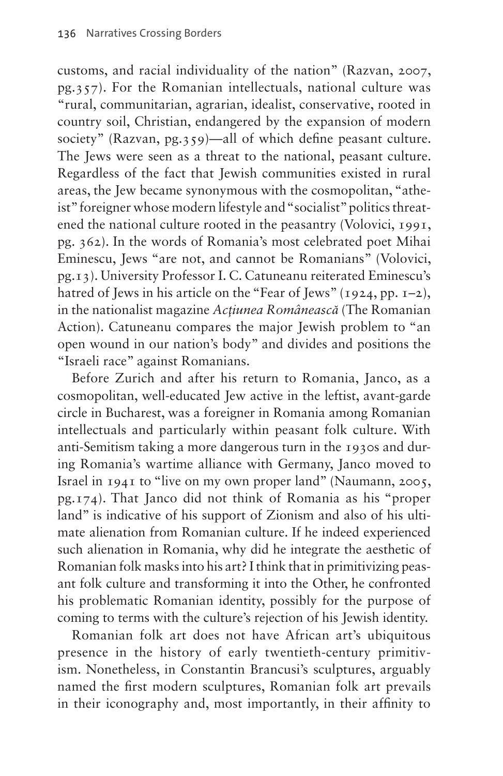customs, and racial individuality of the nation" (Razvan, 2007, pg.357). For the Romanian intellectuals, national culture was "rural, communitarian, agrarian, idealist, conservative, rooted in country soil, Christian, endangered by the expansion of modern society" (Razvan, pg.359)—all of which define peasant culture. The Jews were seen as a threat to the national, peasant culture. Regardless of the fact that Jewish communities existed in rural areas, the Jew became synonymous with the cosmopolitan, "atheist" foreigner whose modern lifestyle and "socialist" politics threatened the national culture rooted in the peasantry (Volovici, 1991, pg. 362). In the words of Romania's most celebrated poet Mihai Eminescu, Jews "are not, and cannot be Romanians" (Volovici, pg.13). University Professor I. C. Catuneanu reiterated Eminescu's hatred of Jews in his article on the "Fear of Jews"  $(1924, pp. I-2)$ , in the nationalist magazine *Acţiunea Românească* (The Romanian Action). Catuneanu compares the major Jewish problem to "an open wound in our nation's body" and divides and positions the "Israeli race" against Romanians.

Before Zurich and after his return to Romania, Janco, as a cosmopolitan, well-educated Jew active in the leftist, avant-garde circle in Bucharest, was a foreigner in Romania among Romanian intellectuals and particularly within peasant folk culture. With anti-Semitism taking a more dangerous turn in the 1930s and during Romania's wartime alliance with Germany, Janco moved to Israel in 1941 to "live on my own proper land" (Naumann, 2005, pg.174). That Janco did not think of Romania as his "proper land" is indicative of his support of Zionism and also of his ultimate alienation from Romanian culture. If he indeed experienced such alienation in Romania, why did he integrate the aesthetic of Romanian folk masks into his art? I think that in primitivizing peasant folk culture and transforming it into the Other, he confronted his problematic Romanian identity, possibly for the purpose of coming to terms with the culture's rejection of his Jewish identity.

Romanian folk art does not have African art's ubiquitous presence in the history of early twentieth-century primitivism. Nonetheless, in Constantin Brancusi's sculptures, arguably named the first modern sculptures, Romanian folk art prevails in their iconography and, most importantly, in their affinity to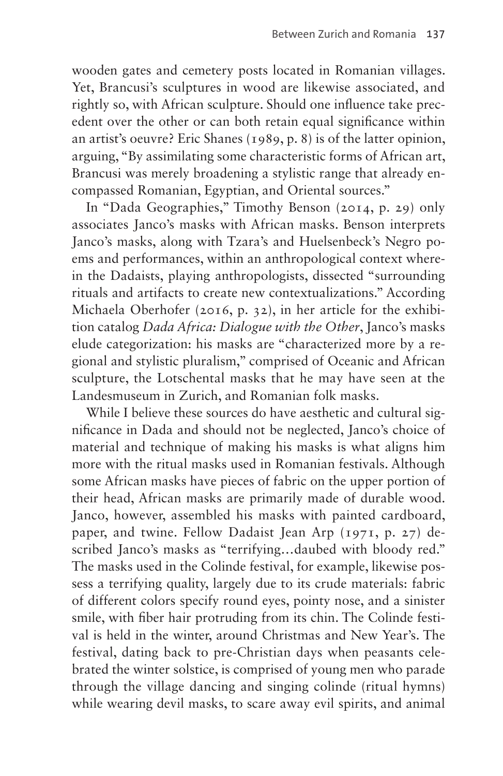wooden gates and cemetery posts located in Romanian villages. Yet, Brancusi's sculptures in wood are likewise associated, and rightly so, with African sculpture. Should one influence take precedent over the other or can both retain equal significance within an artist's oeuvre? Eric Shanes (1989, p. 8) is of the latter opinion, arguing, "By assimilating some characteristic forms of African art, Brancusi was merely broadening a stylistic range that already encompassed Romanian, Egyptian, and Oriental sources."

In "Dada Geographies," Timothy Benson (2014, p. 29) only associates Janco's masks with African masks. Benson interprets Janco's masks, along with Tzara's and Huelsenbeck's Negro poems and performances, within an anthropological context wherein the Dadaists, playing anthropologists, dissected "surrounding rituals and artifacts to create new contextualizations." According Michaela Oberhofer (2016, p. 32), in her article for the exhibition catalog *Dada Africa: Dialogue with the Other*, Janco's masks elude categorization: his masks are "characterized more by a regional and stylistic pluralism," comprised of Oceanic and African sculpture, the Lotschental masks that he may have seen at the Landesmuseum in Zurich, and Romanian folk masks.

While I believe these sources do have aesthetic and cultural significance in Dada and should not be neglected, Janco's choice of material and technique of making his masks is what aligns him more with the ritual masks used in Romanian festivals. Although some African masks have pieces of fabric on the upper portion of their head, African masks are primarily made of durable wood. Janco, however, assembled his masks with painted cardboard, paper, and twine. Fellow Dadaist Jean Arp (1971, p. 27) described Janco's masks as "terrifying…daubed with bloody red." The masks used in the Colinde festival, for example, likewise possess a terrifying quality, largely due to its crude materials: fabric of different colors specify round eyes, pointy nose, and a sinister smile, with fiber hair protruding from its chin. The Colinde festival is held in the winter, around Christmas and New Year's. The festival, dating back to pre-Christian days when peasants celebrated the winter solstice, is comprised of young men who parade through the village dancing and singing colinde (ritual hymns) while wearing devil masks, to scare away evil spirits, and animal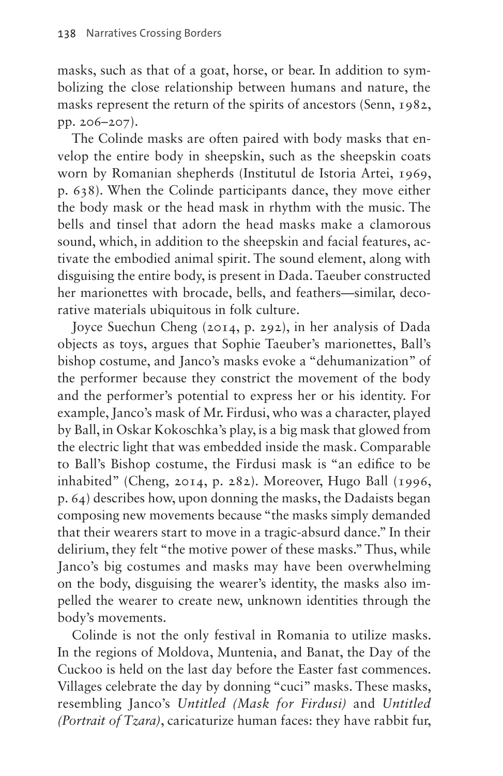masks, such as that of a goat, horse, or bear. In addition to symbolizing the close relationship between humans and nature, the masks represent the return of the spirits of ancestors (Senn, 1982, pp. 206–207).

The Colinde masks are often paired with body masks that envelop the entire body in sheepskin, such as the sheepskin coats worn by Romanian shepherds (Institutul de Istoria Artei, 1969, p. 638). When the Colinde participants dance, they move either the body mask or the head mask in rhythm with the music. The bells and tinsel that adorn the head masks make a clamorous sound, which, in addition to the sheepskin and facial features, activate the embodied animal spirit. The sound element, along with disguising the entire body, is present in Dada. Taeuber constructed her marionettes with brocade, bells, and feathers—similar, decorative materials ubiquitous in folk culture.

Joyce Suechun Cheng (2014, p. 292), in her analysis of Dada objects as toys, argues that Sophie Taeuber's marionettes, Ball's bishop costume, and Janco's masks evoke a "dehumanization" of the performer because they constrict the movement of the body and the performer's potential to express her or his identity. For example, Janco's mask of Mr. Firdusi, who was a character, played by Ball, in Oskar Kokoschka's play, is a big mask that glowed from the electric light that was embedded inside the mask. Comparable to Ball's Bishop costume, the Firdusi mask is "an edifice to be inhabited" (Cheng, 2014, p. 282). Moreover, Hugo Ball (1996, p. 64) describes how, upon donning the masks, the Dadaists began composing new movements because "the masks simply demanded that their wearers start to move in a tragic-absurd dance." In their delirium, they felt "the motive power of these masks." Thus, while Janco's big costumes and masks may have been overwhelming on the body, disguising the wearer's identity, the masks also impelled the wearer to create new, unknown identities through the body's movements.

Colinde is not the only festival in Romania to utilize masks. In the regions of Moldova, Muntenia, and Banat, the Day of the Cuckoo is held on the last day before the Easter fast commences. Villages celebrate the day by donning "cuci" masks. These masks, resembling Janco's *Untitled (Mask for Firdusi)* and *Untitled (Portrait of Tzara)*, caricaturize human faces: they have rabbit fur,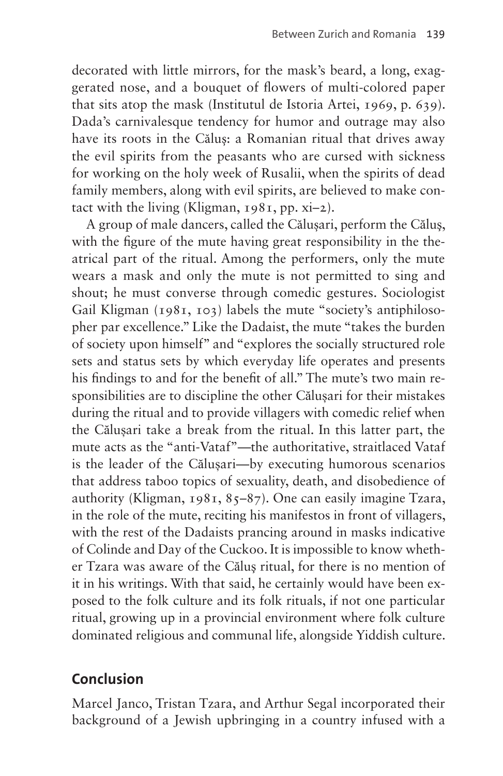decorated with little mirrors, for the mask's beard, a long, exaggerated nose, and a bouquet of flowers of multi-colored paper that sits atop the mask (Institutul de Istoria Artei, 1969, p. 639). Dada's carnivalesque tendency for humor and outrage may also have its roots in the Căluş: a Romanian ritual that drives away the evil spirits from the peasants who are cursed with sickness for working on the holy week of Rusalii, when the spirits of dead family members, along with evil spirits, are believed to make contact with the living (Kligman,  $1981$ , pp.  $xi-2$ ).

A group of male dancers, called the Călușari, perform the Căluş, with the figure of the mute having great responsibility in the theatrical part of the ritual. Among the performers, only the mute wears a mask and only the mute is not permitted to sing and shout; he must converse through comedic gestures. Sociologist Gail Kligman (1981, 103) labels the mute "society's antiphilosopher par excellence." Like the Dadaist, the mute "takes the burden of society upon himself" and "explores the socially structured role sets and status sets by which everyday life operates and presents his findings to and for the benefit of all." The mute's two main responsibilities are to discipline the other Călușari for their mistakes during the ritual and to provide villagers with comedic relief when the Călușari take a break from the ritual. In this latter part, the mute acts as the "anti-Vataf"—the authoritative, straitlaced Vataf is the leader of the Călușari—by executing humorous scenarios that address taboo topics of sexuality, death, and disobedience of authority (Kligman, 1981, 85–87). One can easily imagine Tzara, in the role of the mute, reciting his manifestos in front of villagers, with the rest of the Dadaists prancing around in masks indicative of Colinde and Day of the Cuckoo. It is impossible to know whether Tzara was aware of the Căluş ritual, for there is no mention of it in his writings. With that said, he certainly would have been exposed to the folk culture and its folk rituals, if not one particular ritual, growing up in a provincial environment where folk culture dominated religious and communal life, alongside Yiddish culture.

#### **Conclusion**

Marcel Janco, Tristan Tzara, and Arthur Segal incorporated their background of a Jewish upbringing in a country infused with a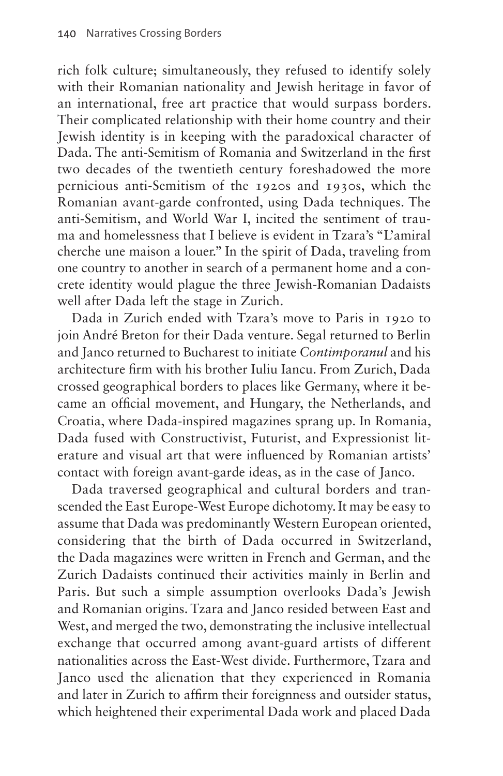rich folk culture; simultaneously, they refused to identify solely with their Romanian nationality and Jewish heritage in favor of an international, free art practice that would surpass borders. Their complicated relationship with their home country and their Jewish identity is in keeping with the paradoxical character of Dada. The anti-Semitism of Romania and Switzerland in the first two decades of the twentieth century foreshadowed the more pernicious anti-Semitism of the 1920s and 1930s, which the Romanian avant-garde confronted, using Dada techniques. The anti-Semitism, and World War I, incited the sentiment of trauma and homelessness that I believe is evident in Tzara's "L'amiral cherche une maison a louer." In the spirit of Dada, traveling from one country to another in search of a permanent home and a concrete identity would plague the three Jewish-Romanian Dadaists well after Dada left the stage in Zurich.

Dada in Zurich ended with Tzara's move to Paris in 1920 to join André Breton for their Dada venture. Segal returned to Berlin and Janco returned to Bucharest to initiate *Contimporanul* and his architecture firm with his brother Iuliu Iancu. From Zurich, Dada crossed geographical borders to places like Germany, where it became an official movement, and Hungary, the Netherlands, and Croatia, where Dada-inspired magazines sprang up. In Romania, Dada fused with Constructivist, Futurist, and Expressionist literature and visual art that were influenced by Romanian artists' contact with foreign avant-garde ideas, as in the case of Janco.

Dada traversed geographical and cultural borders and transcended the East Europe-West Europe dichotomy. It may be easy to assume that Dada was predominantly Western European oriented, considering that the birth of Dada occurred in Switzerland, the Dada magazines were written in French and German, and the Zurich Dadaists continued their activities mainly in Berlin and Paris. But such a simple assumption overlooks Dada's Jewish and Romanian origins. Tzara and Janco resided between East and West, and merged the two, demonstrating the inclusive intellectual exchange that occurred among avant-guard artists of different nationalities across the East-West divide. Furthermore, Tzara and Janco used the alienation that they experienced in Romania and later in Zurich to affirm their foreignness and outsider status, which heightened their experimental Dada work and placed Dada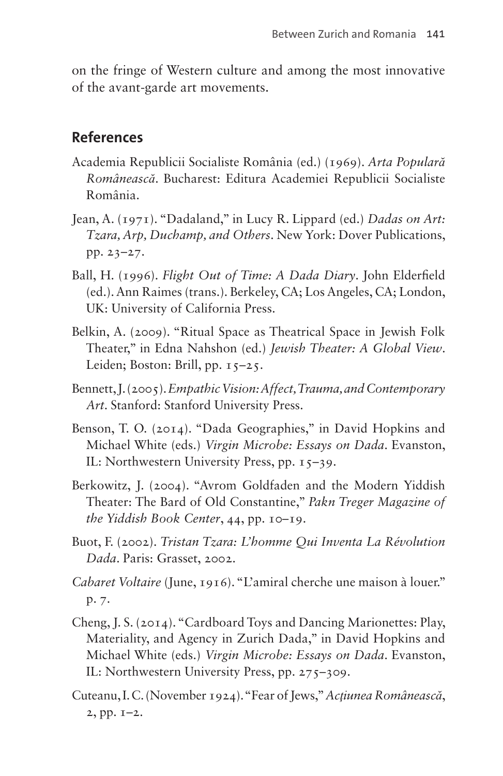on the fringe of Western culture and among the most innovative of the avant-garde art movements.

### **References**

- Academia Republicii Socialiste România (ed.) (1969). *Arta Populară Românească*. Bucharest: Editura Academiei Republicii Socialiste România.
- Jean, A. (1971). "Dadaland," in Lucy R. Lippard (ed.) *Dadas on Art: Tzara, Arp, Duchamp, and Others*. New York: Dover Publications, pp. 23–27.
- Ball, H. (1996). *Flight Out of Time: A Dada Diary*. John Elderfield (ed.). Ann Raimes (trans.). Berkeley, CA; Los Angeles, CA; London, UK: University of California Press.
- Belkin, A. (2009). "Ritual Space as Theatrical Space in Jewish Folk Theater," in Edna Nahshon (ed.) *Jewish Theater: A Global View*. Leiden; Boston: Brill, pp. 15–25.
- Bennett, J. (2005). *Empathic Vision: Affect, Trauma, and Contemporary Art*. Stanford: Stanford University Press.
- Benson, T. O. (2014). "Dada Geographies," in David Hopkins and Michael White (eds.) *Virgin Microbe: Essays on Dada*. Evanston, IL: Northwestern University Press, pp. 15–39.
- Berkowitz, J. (2004). "Avrom Goldfaden and the Modern Yiddish Theater: The Bard of Old Constantine," *Pakn Treger Magazine of the Yiddish Book Center*, 44, pp. 10–19.
- Buot, F. (2002). *Tristan Tzara: L'homme Qui Inventa La Révolution Dada*. Paris: Grasset, 2002.
- *Cabaret Voltaire* (June, 1916). "L'amiral cherche une maison à louer." p. 7.
- Cheng, J. S. (2014). "Cardboard Toys and Dancing Marionettes: Play, Materiality, and Agency in Zurich Dada," in David Hopkins and Michael White (eds.) *Virgin Microbe: Essays on Dada*. Evanston, IL: Northwestern University Press, pp. 275–309.
- Cuteanu, I. C. (November 1924). "Fear of Jews," *Acţiunea Românească*, 2, pp. 1–2.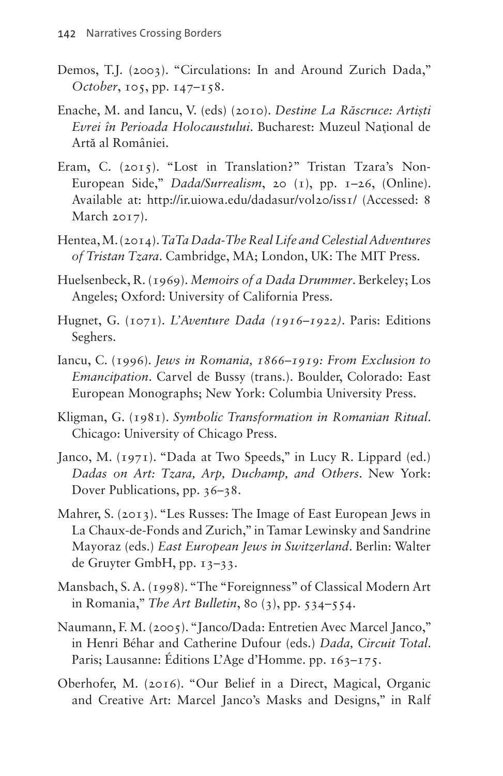- Demos, T.J. (2003). "Circulations: In and Around Zurich Dada," *October*, 105, pp. 147–158.
- Enache, M. and Iancu, V. (eds) (2010). *Destine La Răscruce: Artiști Evrei în Perioada Holocaustului*. Bucharest: Muzeul Nat*̦*ional de Artă al României.
- Eram, C. (2015). "Lost in Translation?" Tristan Tzara's Non-European Side," *Dada/Surrealism*, 20 (1), pp. 1–26, (Online). Available at: <http://ir.uiowa.edu/dadasur/vol20/iss1/>(Accessed: 8 March 2017).
- Hentea, M. (2014). *TaTa Dada-The Real Life and Celestial Adventures of Tristan Tzara*. Cambridge, MA; London, UK: The MIT Press.
- Huelsenbeck, R. (1969). *Memoirs of a Dada Drummer*. Berkeley; Los Angeles; Oxford: University of California Press.
- Hugnet, G. (1071). *L'Aventure Dada (1916–1922)*. Paris: Editions Seghers.
- Iancu, C. (1996). *Jews in Romania, 1866–1919: From Exclusion to Emancipation*. Carvel de Bussy (trans.). Boulder, Colorado: East European Monographs; New York: Columbia University Press.
- Kligman, G. (1981). *Symbolic Transformation in Romanian Ritual*. Chicago: University of Chicago Press.
- Janco, M. (1971). "Dada at Two Speeds," in Lucy R. Lippard (ed.) *Dadas on Art: Tzara, Arp, Duchamp, and Others*. New York: Dover Publications, pp. 36–38.
- Mahrer, S. (2013). "Les Russes: The Image of East European Jews in La Chaux-de-Fonds and Zurich," in Tamar Lewinsky and Sandrine Mayoraz (eds.) *East European Jews in Switzerland*. Berlin: Walter de Gruyter GmbH, pp. 13–33.
- Mansbach, S. A. (1998). "The "Foreignness" of Classical Modern Art in Romania," *The Art Bulletin*, 80 (3), pp. 534–554.
- Naumann, F. M. (2005). "Janco/Dada: Entretien Avec Marcel Janco," in Henri Béhar and Catherine Dufour (eds.) *Dada, Circuit Total*. Paris; Lausanne: Éditions L'Age d'Homme. pp. 163-175.
- Oberhofer, M. (2016). "Our Belief in a Direct, Magical, Organic and Creative Art: Marcel Janco's Masks and Designs," in Ralf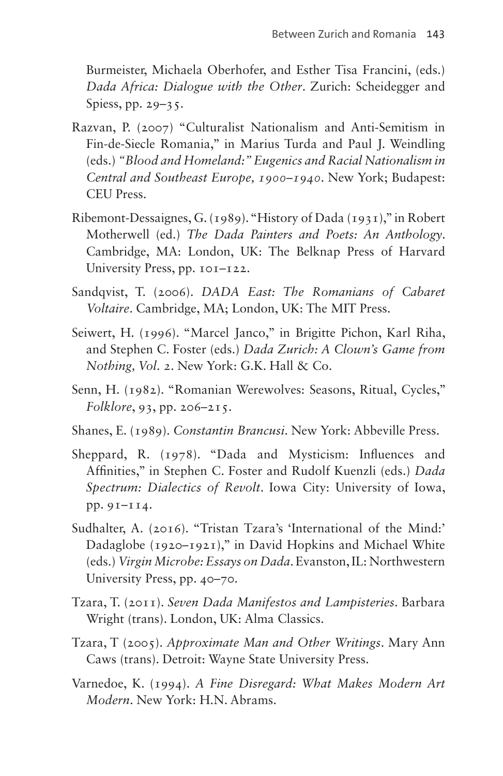Burmeister, Michaela Oberhofer, and Esther Tisa Francini, (eds.) *Dada Africa: Dialogue with the Other*. Zurich: Scheidegger and Spiess, pp. 29–35.

- Razvan, P. (2007) "Culturalist Nationalism and Anti-Semitism in Fin-de-Siecle Romania," in Marius Turda and Paul J. Weindling (eds.) *"Blood and Homeland:" Eugenics and Racial Nationalism in Central and Southeast Europe, 1900–1940*. New York; Budapest: CEU Press.
- Ribemont-Dessaignes, G. (1989). "History of Dada (1931)," in Robert Motherwell (ed.) *The Dada Painters and Poets: An Anthology*. Cambridge, MA: London, UK: The Belknap Press of Harvard University Press, pp. 101–122.
- Sandqvist, T. (2006). *DADA East: The Romanians of Cabaret Voltaire*. Cambridge, MA; London, UK: The MIT Press.
- Seiwert, H. (1996). "Marcel Janco," in Brigitte Pichon, Karl Riha, and Stephen C. Foster (eds.) *Dada Zurich: A Clown's Game from Nothing, Vol*. *2*. New York: G.K. Hall & Co.
- Senn, H. (1982). "Romanian Werewolves: Seasons, Ritual, Cycles," *Folklore*, 93, pp. 206–215.
- Shanes, E. (1989). *Constantin Brancusi*. New York: Abbeville Press.
- Sheppard, R. (1978). "Dada and Mysticism: Influences and Affinities," in Stephen C. Foster and Rudolf Kuenzli (eds.) *Dada Spectrum: Dialectics of Revolt*. Iowa City: University of Iowa, pp. 91–114.
- Sudhalter, A. (2016). "Tristan Tzara's 'International of the Mind:' Dadaglobe (1920–1921)," in David Hopkins and Michael White (eds.) *Virgin Microbe: Essays on Dada*. Evanston, IL: Northwestern University Press, pp. 40–70.
- Tzara, T. (2011). *Seven Dada Manifestos and Lampisteries*. Barbara Wright (trans). London, UK: Alma Classics.
- Tzara, T (2005). *Approximate Man and Other Writings*. Mary Ann Caws (trans). Detroit: Wayne State University Press.
- Varnedoe, K. (1994). *A Fine Disregard: What Makes Modern Art Modern*. New York: H.N. Abrams.